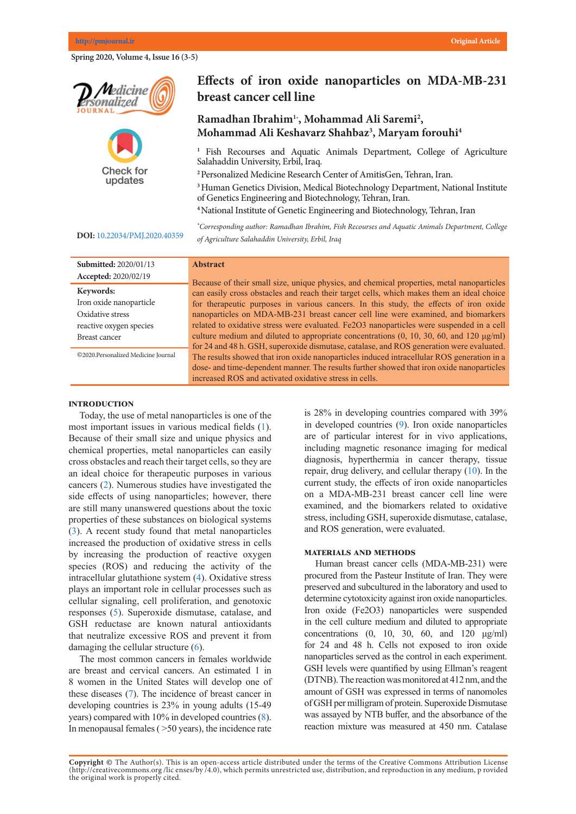**Spring 2020, Volume 4, Issue 16 (3-5)** 





# Effects of iron oxide nanoparticles on MDA-MB-231 **breast cancer cell line**

# **Mohammad Ali Saremi 1,\* Mohammad Ali Keshavarz Shahbaz3 , Maryam forouhi4 Ramadhan Ibrahim1\* , Mohammad Ali Saremi2 ,**

<sup>1</sup> Fish Recourses and Aquatic Animals Department, College of Agriculture Salahaddin University, Erbil, Iraq.

<sup>2</sup> Personalized Medicine Research Center of AmitisGen, Tehran, Iran.

<sup>3</sup> Human Genetics Division, Medical Biotechnology Department, National Institute of Genetics Engineering and Biotechnology, Tehran, Iran.

**<sup>4</sup>**National Institute of Genetic Engineering and Biotechnology, Tehran, Iran

<sup>\*</sup>Canusa</sub> Lung cancer is the deadliest cancer in Iran after gastric cancer. The vast majority (85%) *\* Corresponding author: Ramadhan Ibrahim, Fish Recourses and Aquatic Animals Department, College*  of Agriculture Salahaddin University, Erbil, Iraq

## **DOI:** [10.22034/PMJ.2020.40359](http://www.pmjournal.ir/article_40359.html)

| Submitted: 2020/01/13<br><b>Abstract</b><br>Accepted: 2020/02/19<br>Because of their small size, unique physics, and chemical properties, metal nanoparticles |
|---------------------------------------------------------------------------------------------------------------------------------------------------------------|
|                                                                                                                                                               |
|                                                                                                                                                               |
| Keywords:<br>can easily cross obstacles and reach their target cells, which makes them an ideal choice                                                        |
| Iron oxide nanoparticle<br>for the rapeutic purposes in various cancers. In this study, the effects of iron oxide                                             |
| Oxidative stress<br>nanoparticles on MDA-MB-231 breast cancer cell line were examined, and biomarkers                                                         |
| related to oxidative stress were evaluated. Fe2O3 nanoparticles were suspended in a cell<br>reactive oxygen species                                           |
| culture medium and diluted to appropriate concentrations $(0, 10, 30, 60, \text{ and } 120 \mu\text{g/ml})$<br>Breast cancer                                  |
| for 24 and 48 h. GSH, superoxide dismutase, catalase, and ROS generation were evaluated.                                                                      |
| ©2020.Personalized Medicine Journal<br>The results showed that iron oxide nanoparticles induced intracellular ROS generation in a                             |
| dose- and time-dependent manner. The results further showed that iron oxide nanoparticles                                                                     |
| increased ROS and activated oxidative stress in cells.                                                                                                        |

### **Introduction**

Today, the use of metal nanoparticles is one of the most important issues in various medical fields ([1\)](#page-1-0). Because of their small size and unique physics and chemical properties, metal nanoparticles can easily cross obstacles and reach their target cells, so they are an ideal choice for therapeutic purposes in various cancers ([2\)](#page-1-0). Numerous studies have investigated the side effects of using nanoparticles; however, there are still many unanswered questions about the toxic properties of these substances on biological systems  $(3)$  $(3)$ . A recent study found that metal nanoparticles increased the production of oxidative stress in cells by increasing the production of reactive oxygen species (ROS) and reducing the activity of the intracellular glutathione system ([4](#page-1-0)). Oxidative stress plays an important role in cellular processes such as cellular signaling, cell proliferation, and genotoxic responses [\(5](#page-1-0)). Superoxide dismutase, catalase, and GSH reductase are known natural antioxidants that neutralize excessive ROS and prevent it from damaging the cellular structure  $(6)$  $(6)$ .

The most common cancers in females worldwide are breast and cervical cancers. An estimated 1 in 8 women in the United States will develop one of these diseases ([7\)](#page-1-0). The incidence of breast cancer in developing countries is 23% in young adults (15-49 years) compared with 10% in developed countries [\(8\)](#page-1-0). In menopausal females ( $>50$  years), the incidence rate

is 28% in developing countries compared with 39% in developed countries ([9](#page-1-0)). Iron oxide nanoparticles are of particular interest for in vivo applications, including magnetic resonance imaging for medical diagnosis, hyperthermia in cancer therapy, tissue repair, drug delivery, and cellular therapy  $(10)$  $(10)$ . In the current study, the effects of iron oxide nanoparticles on a MDA-MB-231 breast cancer cell line were examined, and the biomarkers related to oxidative stress, including GSH, superoxide dismutase, catalase, and ROS generation, were evaluated.

## **MATERIALS AND METHODS**

Human breast cancer cells (MDA-MB-231) were procured from the Pasteur Institute of Iran. They were preserved and subcultured in the laboratory and used to determine cytotoxicity against iron oxide nanoparticles. Iron oxide (Fe2O3) nanoparticles were suspended in the cell culture medium and diluted to appropriate concentrations  $(0, 10, 30, 60, \text{ and } 120 \text{ µg/ml})$ for 24 and 48 h. Cells not exposed to iron oxide nanoparticles served as the control in each experiment. GSH levels were quantified by using Ellman's reagent (DTNB). The reaction was monitored at  $412$  nm, and the amount of GSH was expressed in terms of nanomoles of GSH per milligram of protein. Superoxide Dismutase was assayed by NTB buffer, and the absorbance of the reaction mixture was measured at 450 nm. Catalase

Copyright @ The Author(s). This is an open-access article distributed under the terms of the Creative Commons Attribution License (http://creativecommons.org/licenses/by/4.0), which permits unrestricted use, distribution, and reproduction in any medium, p rovided the original work is properly cited. is properly cited.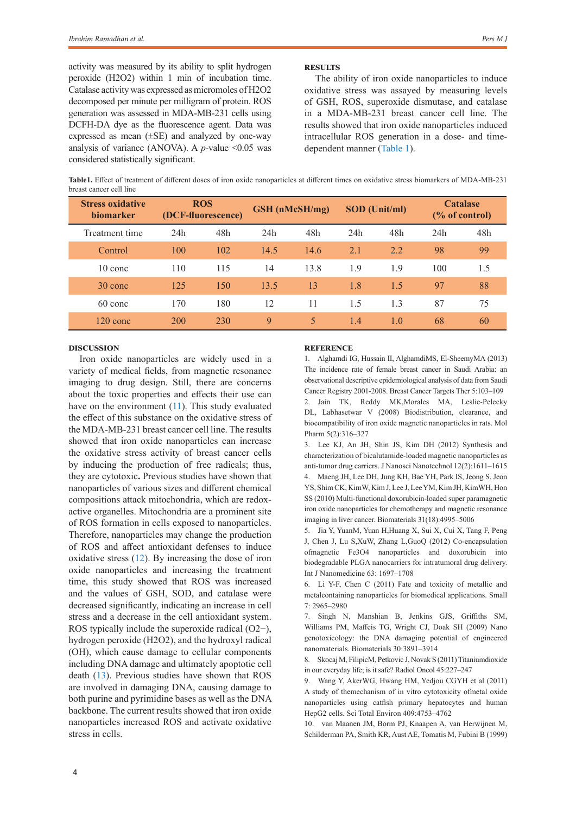activity was measured by its ability to split hydrogen peroxide (H2O2) within 1 min of incubation time. Catalase activity was expressed as micromoles of H2O2 decomposed per minute per milligram of protein. ROS generation was assessed in MDA-MB-231 cells using DCFH-DA dye as the fluorescence agent. Data was expressed as mean (±SE) and analyzed by one-way analysis of variance (ANOVA). A *p*-value <0.05 was considered statistically significant.

#### **Results**

The ability of iron oxide nanoparticles to induce oxidative stress was assayed by measuring levels of GSH, ROS, superoxide dismutase, and catalase in a MDA-MB-231 breast cancer cell line. The results showed that iron oxide nanoparticles induced intracellular ROS generation in a dose- and timedependent manner [\(Table 1\)](#page-1-1).

<span id="page-1-1"></span>**Table1.** Effect of treatment of different doses of iron oxide nanoparticles at different times on oxidative stress biomarkers of MDA-MB-231 breast cancer cell line

| <b>Stress oxidative</b><br><b>biomarker</b> | <b>ROS</b><br>(DCF-fluorescence) |     | GSH (nMcSH/mg) |      | <b>SOD</b> (Unit/ml) |     | <b>Catalase</b><br>$\frac{6}{6}$ of control) |     |
|---------------------------------------------|----------------------------------|-----|----------------|------|----------------------|-----|----------------------------------------------|-----|
| Treatment time                              | 24h                              | 48h | 24h            | 48h  | 24h                  | 48h | 24h                                          | 48h |
| Control                                     | 100                              | 102 | 14.5           | 14.6 | 2.1                  | 2.2 | 98                                           | 99  |
| $10 \text{ cone}$                           | 110                              | 115 | 14             | 13.8 | 1.9                  | 1.9 | 100                                          | 1.5 |
| 30 conc                                     | 125                              | 150 | 13.5           | 13   | 1.8                  | 1.5 | 97                                           | 88  |
| 60 conc                                     | 170                              | 180 | 12             | 11   | 1.5                  | 1.3 | 87                                           | 75  |
| $120 \text{ cone}$                          | 200                              | 230 | 9              | 5    | 1.4                  | 1.0 | 68                                           | 60  |

## **Discussion**

Iron oxide nanoparticles are widely used in a variety of medical fields, from magnetic resonance imaging to drug design. Still, there are concerns about the toxic properties and effects their use can have on the environment  $(11)$ . This study evaluated the effect of this substance on the oxidative stress of the MDA-MB-231 breast cancer cell line. The results showed that iron oxide nanoparticles can increase the oxidative stress activity of breast cancer cells by inducing the production of free radicals; thus, they are cytotoxic**.** Previous studies have shown that nanoparticles of various sizes and different chemical compositions attack mitochondria, which are redoxactive organelles. Mitochondria are a prominent site of ROS formation in cells exposed to nanoparticles. Therefore, nanoparticles may change the production of ROS and affect antioxidant defenses to induce oxidative stress ([12](#page-2-1)). By increasing the dose of iron oxide nanoparticles and increasing the treatment time, this study showed that ROS was increased and the values of GSH, SOD, and catalase were decreased significantly, indicating an increase in cell stress and a decrease in the cell antioxidant system. ROS typically include the superoxide radical (O2−), hydrogen peroxide (H2O2), and the hydroxyl radical (OH), which cause damage to cellular components including DNA damage and ultimately apoptotic cell death ([13](#page-2-2)). Previous studies have shown that ROS are involved in damaging DNA, causing damage to both purine and pyrimidine bases as well as the DNA backbone. The current results showed that iron oxide nanoparticles increased ROS and activate oxidative stress in cells.

### **Reference**

<span id="page-1-0"></span>1. Alghamdi IG, Hussain II, AlghamdiMS, El-SheemyMA (2013) The incidence rate of female breast cancer in Saudi Arabia: an observational descriptive epidemiological analysis of data from Saudi Cancer Registry 2001-2008. Breast Cancer Targets Ther 5:103–109 2. Jain TK, Reddy MK,Morales MA, Leslie-Pelecky DL, Labhasetwar V (2008) Biodistribution, clearance, and biocompatibility of iron oxide magnetic nanoparticles in rats. Mol Pharm 5(2):316–327

3. Lee KJ, An JH, Shin JS, Kim DH (2012) Synthesis and characterization of bicalutamide-loaded magnetic nanoparticles as anti-tumor drug carriers. J Nanosci Nanotechnol 12(2):1611–1615 4. Maeng JH, Lee DH, Jung KH, Bae YH, Park IS, Jeong S, Jeon YS, Shim CK, KimW, Kim J, Lee J, Lee YM, Kim JH, KimWH, Hon SS (2010) Multi-functional doxorubicin-loaded super paramagnetic iron oxide nanoparticles for chemotherapy and magnetic resonance imaging in liver cancer. Biomaterials 31(18):4995–5006

5. Jia Y, YuanM, Yuan H,Huang X, Sui X, Cui X, Tang F, Peng J, Chen J, Lu S,XuW, Zhang L,GuoQ (2012) Co-encapsulation ofmagnetic Fe3O4 nanoparticles and doxorubicin into biodegradable PLGA nanocarriers for intratumoral drug delivery. Int J Nanomedicine 63: 1697–1708

6. Li Y-F, Chen C (2011) Fate and toxicity of metallic and metalcontaining nanoparticles for biomedical applications. Small 7: 2965–2980

7. Singh N, Manshian B, Jenkins GJS, Griffiths SM, Williams PM, Maffeis TG, Wright CJ, Doak SH (2009) Nano genotoxicology: the DNA damaging potential of engineered nanomaterials. Biomaterials 30:3891–3914

8. Skocaj M, FilipicM, Petkovic J, Novak S (2011) Titaniumdioxide in our everyday life; is it safe? Radiol Oncol 45:227–247

9. Wang Y, AkerWG, Hwang HM, Yedjou CGYH et al (2011) A study of themechanism of in vitro cytotoxicity ofmetal oxide nanoparticles using catfish primary hepatocytes and human HepG2 cells. Sci Total Environ 409:4753–4762

10. van Maanen JM, Borm PJ, Knaapen A, van Herwijnen M, Schilderman PA, Smith KR, Aust AE, Tomatis M, Fubini B (1999)